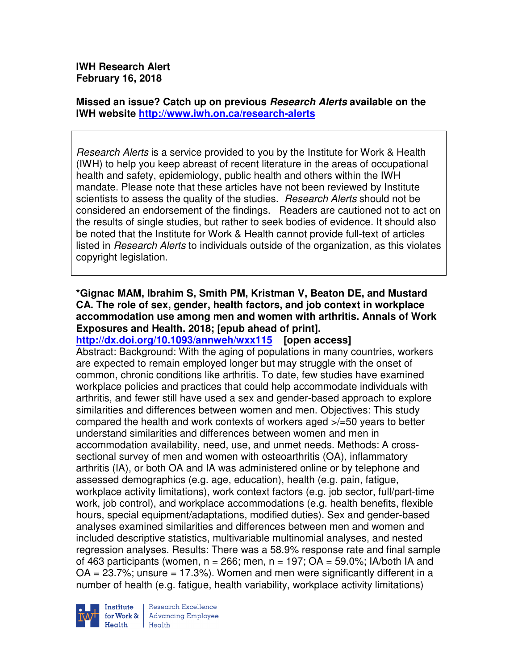**IWH Research Alert February 16, 2018** 

**Missed an issue? Catch up on previous Research Alerts available on the IWH website http://www.iwh.on.ca/research-alerts**

Research Alerts is a service provided to you by the Institute for Work & Health (IWH) to help you keep abreast of recent literature in the areas of occupational health and safety, epidemiology, public health and others within the IWH mandate. Please note that these articles have not been reviewed by Institute scientists to assess the quality of the studies. *Research Alerts* should not be considered an endorsement of the findings. Readers are cautioned not to act on the results of single studies, but rather to seek bodies of evidence. It should also be noted that the Institute for Work & Health cannot provide full-text of articles listed in Research Alerts to individuals outside of the organization, as this violates copyright legislation.

### **\*Gignac MAM, Ibrahim S, Smith PM, Kristman V, Beaton DE, and Mustard CA. The role of sex, gender, health factors, and job context in workplace accommodation use among men and women with arthritis. Annals of Work Exposures and Health. 2018; [epub ahead of print].**

**http://dx.doi.org/10.1093/annweh/wxx115 [open access]** Abstract: Background: With the aging of populations in many countries, workers are expected to remain employed longer but may struggle with the onset of common, chronic conditions like arthritis. To date, few studies have examined workplace policies and practices that could help accommodate individuals with arthritis, and fewer still have used a sex and gender-based approach to explore similarities and differences between women and men. Objectives: This study compared the health and work contexts of workers aged >/=50 years to better understand similarities and differences between women and men in accommodation availability, need, use, and unmet needs. Methods: A crosssectional survey of men and women with osteoarthritis (OA), inflammatory arthritis (IA), or both OA and IA was administered online or by telephone and assessed demographics (e.g. age, education), health (e.g. pain, fatigue, workplace activity limitations), work context factors (e.g. job sector, full/part-time work, job control), and workplace accommodations (e.g. health benefits, flexible hours, special equipment/adaptations, modified duties). Sex and gender-based analyses examined similarities and differences between men and women and included descriptive statistics, multivariable multinomial analyses, and nested regression analyses. Results: There was a 58.9% response rate and final sample of 463 participants (women,  $n = 266$ ; men,  $n = 197$ ;  $OA = 59.0\%$ ; IA/both IA and  $OA = 23.7\%$ ; unsure = 17.3%). Women and men were significantly different in a number of health (e.g. fatigue, health variability, workplace activity limitations)



Research Excellence **Advancing Employee** Health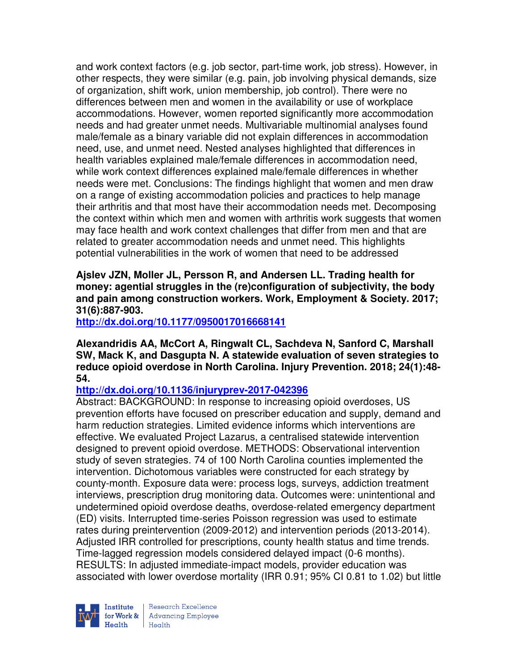and work context factors (e.g. job sector, part-time work, job stress). However, in other respects, they were similar (e.g. pain, job involving physical demands, size of organization, shift work, union membership, job control). There were no differences between men and women in the availability or use of workplace accommodations. However, women reported significantly more accommodation needs and had greater unmet needs. Multivariable multinomial analyses found male/female as a binary variable did not explain differences in accommodation need, use, and unmet need. Nested analyses highlighted that differences in health variables explained male/female differences in accommodation need, while work context differences explained male/female differences in whether needs were met. Conclusions: The findings highlight that women and men draw on a range of existing accommodation policies and practices to help manage their arthritis and that most have their accommodation needs met. Decomposing the context within which men and women with arthritis work suggests that women may face health and work context challenges that differ from men and that are related to greater accommodation needs and unmet need. This highlights potential vulnerabilities in the work of women that need to be addressed

**Ajslev JZN, Moller JL, Persson R, and Andersen LL. Trading health for money: agential struggles in the (re)configuration of subjectivity, the body and pain among construction workers. Work, Employment & Society. 2017; 31(6):887-903.** 

**http://dx.doi.org/10.1177/0950017016668141** 

**Alexandridis AA, McCort A, Ringwalt CL, Sachdeva N, Sanford C, Marshall SW, Mack K, and Dasgupta N. A statewide evaluation of seven strategies to reduce opioid overdose in North Carolina. Injury Prevention. 2018; 24(1):48- 54.** 

#### **http://dx.doi.org/10.1136/injuryprev-2017-042396**

Abstract: BACKGROUND: In response to increasing opioid overdoses, US prevention efforts have focused on prescriber education and supply, demand and harm reduction strategies. Limited evidence informs which interventions are effective. We evaluated Project Lazarus, a centralised statewide intervention designed to prevent opioid overdose. METHODS: Observational intervention study of seven strategies. 74 of 100 North Carolina counties implemented the intervention. Dichotomous variables were constructed for each strategy by county-month. Exposure data were: process logs, surveys, addiction treatment interviews, prescription drug monitoring data. Outcomes were: unintentional and undetermined opioid overdose deaths, overdose-related emergency department (ED) visits. Interrupted time-series Poisson regression was used to estimate rates during preintervention (2009-2012) and intervention periods (2013-2014). Adjusted IRR controlled for prescriptions, county health status and time trends. Time-lagged regression models considered delayed impact (0-6 months). RESULTS: In adjusted immediate-impact models, provider education was associated with lower overdose mortality (IRR 0.91; 95% CI 0.81 to 1.02) but little



Research Excellence for Work & | Advancing Employee Health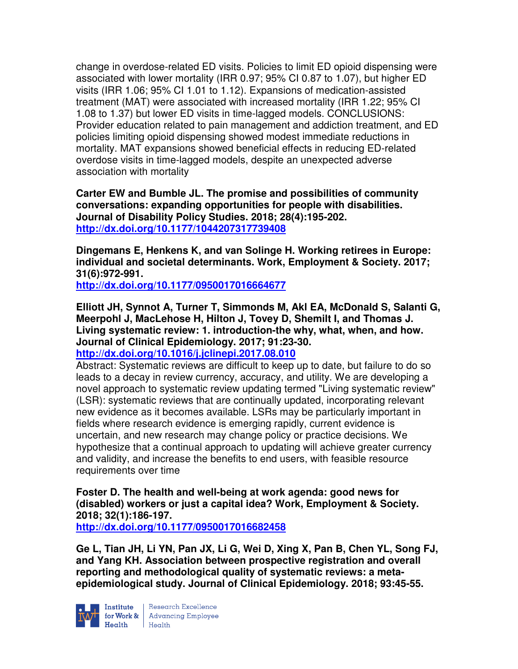change in overdose-related ED visits. Policies to limit ED opioid dispensing were associated with lower mortality (IRR 0.97; 95% CI 0.87 to 1.07), but higher ED visits (IRR 1.06; 95% CI 1.01 to 1.12). Expansions of medication-assisted treatment (MAT) were associated with increased mortality (IRR 1.22; 95% CI 1.08 to 1.37) but lower ED visits in time-lagged models. CONCLUSIONS: Provider education related to pain management and addiction treatment, and ED policies limiting opioid dispensing showed modest immediate reductions in mortality. MAT expansions showed beneficial effects in reducing ED-related overdose visits in time-lagged models, despite an unexpected adverse association with mortality

**Carter EW and Bumble JL. The promise and possibilities of community conversations: expanding opportunities for people with disabilities. Journal of Disability Policy Studies. 2018; 28(4):195-202. http://dx.doi.org/10.1177/1044207317739408** 

**Dingemans E, Henkens K, and van Solinge H. Working retirees in Europe: individual and societal determinants. Work, Employment & Society. 2017; 31(6):972-991.** 

**http://dx.doi.org/10.1177/0950017016664677** 

**Elliott JH, Synnot A, Turner T, Simmonds M, Akl EA, McDonald S, Salanti G, Meerpohl J, MacLehose H, Hilton J, Tovey D, Shemilt I, and Thomas J. Living systematic review: 1. introduction-the why, what, when, and how. Journal of Clinical Epidemiology. 2017; 91:23-30.** 

**http://dx.doi.org/10.1016/j.jclinepi.2017.08.010** 

Abstract: Systematic reviews are difficult to keep up to date, but failure to do so leads to a decay in review currency, accuracy, and utility. We are developing a novel approach to systematic review updating termed "Living systematic review" (LSR): systematic reviews that are continually updated, incorporating relevant new evidence as it becomes available. LSRs may be particularly important in fields where research evidence is emerging rapidly, current evidence is uncertain, and new research may change policy or practice decisions. We hypothesize that a continual approach to updating will achieve greater currency and validity, and increase the benefits to end users, with feasible resource requirements over time

**Foster D. The health and well-being at work agenda: good news for (disabled) workers or just a capital idea? Work, Employment & Society. 2018; 32(1):186-197.** 

**http://dx.doi.org/10.1177/0950017016682458** 

**Ge L, Tian JH, Li YN, Pan JX, Li G, Wei D, Xing X, Pan B, Chen YL, Song FJ, and Yang KH. Association between prospective registration and overall reporting and methodological quality of systematic reviews: a metaepidemiological study. Journal of Clinical Epidemiology. 2018; 93:45-55.** 



Institute Research Excellence<br>for Work & Advancing Employee<br>Health Health Health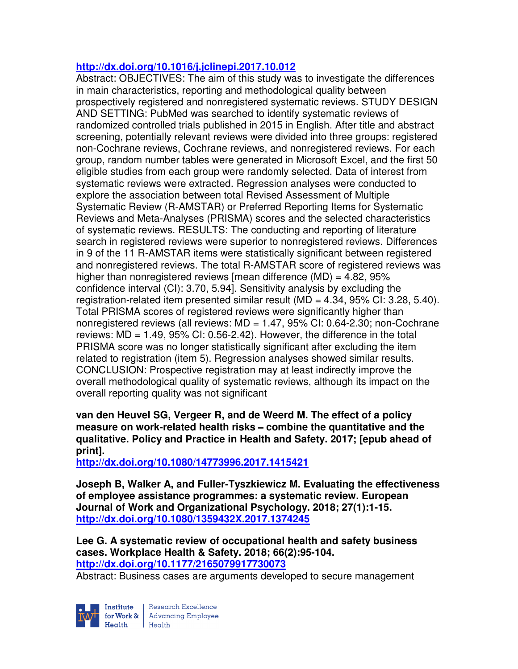## **http://dx.doi.org/10.1016/j.jclinepi.2017.10.012**

Abstract: OBJECTIVES: The aim of this study was to investigate the differences in main characteristics, reporting and methodological quality between prospectively registered and nonregistered systematic reviews. STUDY DESIGN AND SETTING: PubMed was searched to identify systematic reviews of randomized controlled trials published in 2015 in English. After title and abstract screening, potentially relevant reviews were divided into three groups: registered non-Cochrane reviews, Cochrane reviews, and nonregistered reviews. For each group, random number tables were generated in Microsoft Excel, and the first 50 eligible studies from each group were randomly selected. Data of interest from systematic reviews were extracted. Regression analyses were conducted to explore the association between total Revised Assessment of Multiple Systematic Review (R-AMSTAR) or Preferred Reporting Items for Systematic Reviews and Meta-Analyses (PRISMA) scores and the selected characteristics of systematic reviews. RESULTS: The conducting and reporting of literature search in registered reviews were superior to nonregistered reviews. Differences in 9 of the 11 R-AMSTAR items were statistically significant between registered and nonregistered reviews. The total R-AMSTAR score of registered reviews was higher than nonregistered reviews [mean difference  $(MD) = 4.82$ , 95% confidence interval (CI): 3.70, 5.94]. Sensitivity analysis by excluding the registration-related item presented similar result (MD =  $4.34$ ,  $95\%$  CI: 3.28, 5.40). Total PRISMA scores of registered reviews were significantly higher than nonregistered reviews (all reviews: MD = 1.47, 95% CI: 0.64-2.30; non-Cochrane reviews: MD = 1.49, 95% CI: 0.56-2.42). However, the difference in the total PRISMA score was no longer statistically significant after excluding the item related to registration (item 5). Regression analyses showed similar results. CONCLUSION: Prospective registration may at least indirectly improve the overall methodological quality of systematic reviews, although its impact on the overall reporting quality was not significant

**van den Heuvel SG, Vergeer R, and de Weerd M. The effect of a policy measure on work-related health risks**− **combine the quantitative and the qualitative. Policy and Practice in Health and Safety. 2017; [epub ahead of print].** 

**http://dx.doi.org/10.1080/14773996.2017.1415421** 

**Joseph B, Walker A, and Fuller-Tyszkiewicz M. Evaluating the effectiveness of employee assistance programmes: a systematic review. European Journal of Work and Organizational Psychology. 2018; 27(1):1-15. http://dx.doi.org/10.1080/1359432X.2017.1374245** 

**Lee G. A systematic review of occupational health and safety business cases. Workplace Health & Safety. 2018; 66(2):95-104. http://dx.doi.org/10.1177/2165079917730073** 

Abstract: Business cases are arguments developed to secure management

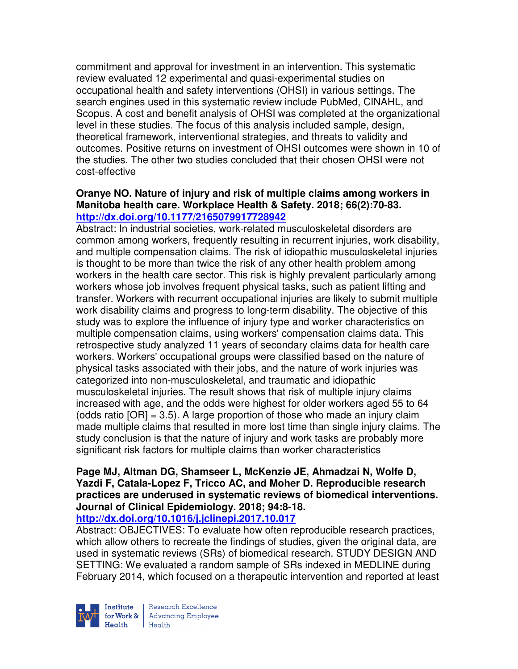commitment and approval for investment in an intervention. This systematic review evaluated 12 experimental and quasi-experimental studies on occupational health and safety interventions (OHSI) in various settings. The search engines used in this systematic review include PubMed, CINAHL, and Scopus. A cost and benefit analysis of OHSI was completed at the organizational level in these studies. The focus of this analysis included sample, design, theoretical framework, interventional strategies, and threats to validity and outcomes. Positive returns on investment of OHSI outcomes were shown in 10 of the studies. The other two studies concluded that their chosen OHSI were not cost-effective

#### **Oranye NO. Nature of injury and risk of multiple claims among workers in Manitoba health care. Workplace Health & Safety. 2018; 66(2):70-83. http://dx.doi.org/10.1177/2165079917728942**

Abstract: In industrial societies, work-related musculoskeletal disorders are common among workers, frequently resulting in recurrent injuries, work disability, and multiple compensation claims. The risk of idiopathic musculoskeletal injuries is thought to be more than twice the risk of any other health problem among workers in the health care sector. This risk is highly prevalent particularly among workers whose job involves frequent physical tasks, such as patient lifting and transfer. Workers with recurrent occupational injuries are likely to submit multiple work disability claims and progress to long-term disability. The objective of this study was to explore the influence of injury type and worker characteristics on multiple compensation claims, using workers' compensation claims data. This retrospective study analyzed 11 years of secondary claims data for health care workers. Workers' occupational groups were classified based on the nature of physical tasks associated with their jobs, and the nature of work injuries was categorized into non-musculoskeletal, and traumatic and idiopathic musculoskeletal injuries. The result shows that risk of multiple injury claims increased with age, and the odds were highest for older workers aged 55 to 64 (odds ratio  $[OR] = 3.5$ ). A large proportion of those who made an injury claim made multiple claims that resulted in more lost time than single injury claims. The study conclusion is that the nature of injury and work tasks are probably more significant risk factors for multiple claims than worker characteristics

# **Page MJ, Altman DG, Shamseer L, McKenzie JE, Ahmadzai N, Wolfe D, Yazdi F, Catala-Lopez F, Tricco AC, and Moher D. Reproducible research practices are underused in systematic reviews of biomedical interventions. Journal of Clinical Epidemiology. 2018; 94:8-18.**

#### **http://dx.doi.org/10.1016/j.jclinepi.2017.10.017**

Abstract: OBJECTIVES: To evaluate how often reproducible research practices, which allow others to recreate the findings of studies, given the original data, are used in systematic reviews (SRs) of biomedical research. STUDY DESIGN AND SETTING: We evaluated a random sample of SRs indexed in MEDLINE during February 2014, which focused on a therapeutic intervention and reported at least



Research Excellence for Work & | Advancing Employee Health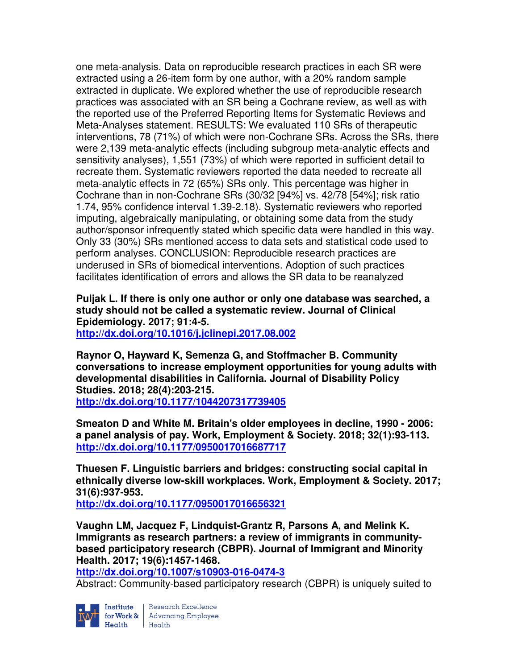one meta-analysis. Data on reproducible research practices in each SR were extracted using a 26-item form by one author, with a 20% random sample extracted in duplicate. We explored whether the use of reproducible research practices was associated with an SR being a Cochrane review, as well as with the reported use of the Preferred Reporting Items for Systematic Reviews and Meta-Analyses statement. RESULTS: We evaluated 110 SRs of therapeutic interventions, 78 (71%) of which were non-Cochrane SRs. Across the SRs, there were 2,139 meta-analytic effects (including subgroup meta-analytic effects and sensitivity analyses), 1,551 (73%) of which were reported in sufficient detail to recreate them. Systematic reviewers reported the data needed to recreate all meta-analytic effects in 72 (65%) SRs only. This percentage was higher in Cochrane than in non-Cochrane SRs (30/32 [94%] vs. 42/78 [54%]; risk ratio 1.74, 95% confidence interval 1.39-2.18). Systematic reviewers who reported imputing, algebraically manipulating, or obtaining some data from the study author/sponsor infrequently stated which specific data were handled in this way. Only 33 (30%) SRs mentioned access to data sets and statistical code used to perform analyses. CONCLUSION: Reproducible research practices are underused in SRs of biomedical interventions. Adoption of such practices facilitates identification of errors and allows the SR data to be reanalyzed

**Puljak L. If there is only one author or only one database was searched, a study should not be called a systematic review. Journal of Clinical Epidemiology. 2017; 91:4-5.** 

**http://dx.doi.org/10.1016/j.jclinepi.2017.08.002** 

**Raynor O, Hayward K, Semenza G, and Stoffmacher B. Community conversations to increase employment opportunities for young adults with developmental disabilities in California. Journal of Disability Policy Studies. 2018; 28(4):203-215.** 

**http://dx.doi.org/10.1177/1044207317739405** 

**Smeaton D and White M. Britain's older employees in decline, 1990 - 2006: a panel analysis of pay. Work, Employment & Society. 2018; 32(1):93-113. http://dx.doi.org/10.1177/0950017016687717** 

**Thuesen F. Linguistic barriers and bridges: constructing social capital in ethnically diverse low-skill workplaces. Work, Employment & Society. 2017; 31(6):937-953.** 

**http://dx.doi.org/10.1177/0950017016656321** 

**Vaughn LM, Jacquez F, Lindquist-Grantz R, Parsons A, and Melink K. Immigrants as research partners: a review of immigrants in communitybased participatory research (CBPR). Journal of Immigrant and Minority Health. 2017; 19(6):1457-1468.** 

**http://dx.doi.org/10.1007/s10903-016-0474-3** 

Abstract: Community-based participatory research (CBPR) is uniquely suited to